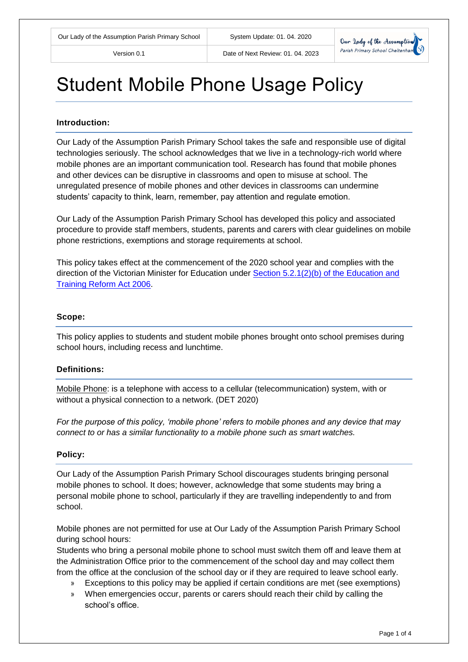

# Student Mobile Phone Usage Policy

#### **Introduction:**

Our Lady of the Assumption Parish Primary School takes the safe and responsible use of digital technologies seriously. The school acknowledges that we live in a technology-rich world where mobile phones are an important communication tool. Research has found that mobile phones and other devices can be disruptive in classrooms and open to misuse at school. The unregulated presence of mobile phones and other devices in classrooms can undermine students' capacity to think, learn, remember, pay attention and regulate emotion.

Our Lady of the Assumption Parish Primary School has developed this policy and associated procedure to provide staff members, students, parents and carers with clear guidelines on mobile phone restrictions, exemptions and storage requirements at school.

This policy takes effect at the commencement of the 2020 school year and complies with the direction of the Victorian Minister for Education under [Section 5.2.1\(2\)\(b\) of the Education and](http://www8.austlii.edu.au/cgi-bin/viewdoc/au/legis/vic/consol_act/eatra2006273/s5.2.1.html)  [Training Reform Act 2006.](http://www8.austlii.edu.au/cgi-bin/viewdoc/au/legis/vic/consol_act/eatra2006273/s5.2.1.html)

#### **Scope:**

This policy applies to students and student mobile phones brought onto school premises during school hours, including recess and lunchtime.

#### **Definitions:**

Mobile Phone: is a telephone with access to a cellular (telecommunication) system, with or without a physical connection to a network. (DET 2020)

*For the purpose of this policy, 'mobile phone' refers to mobile phones and any device that may connect to or has a similar functionality to a mobile phone such as smart watches.*

#### **Policy:**

Our Lady of the Assumption Parish Primary School discourages students bringing personal mobile phones to school. It does; however, acknowledge that some students may bring a personal mobile phone to school, particularly if they are travelling independently to and from school.

Mobile phones are not permitted for use at Our Lady of the Assumption Parish Primary School during school hours:

Students who bring a personal mobile phone to school must switch them off and leave them at the Administration Office prior to the commencement of the school day and may collect them from the office at the conclusion of the school day or if they are required to leave school early.

- » Exceptions to this policy may be applied if certain conditions are met (see exemptions)
- » When emergencies occur, parents or carers should reach their child by calling the school's office.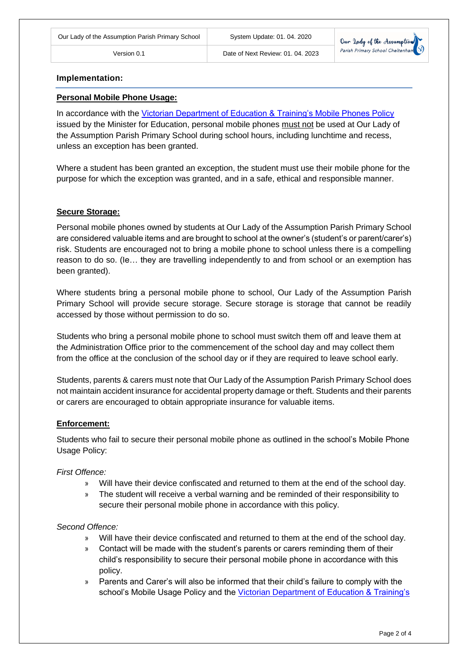

#### **Implementation:**

#### **Personal Mobile Phone Usage:**

In accordance with the [Victorian Department of Education & Training's Mobile Phones Policy](https://www.education.vic.gov.au/school/principals/spag/safety/Pages/mobilephones.aspx) issued by the Minister for Education, personal mobile phones must not be used at Our Lady of the Assumption Parish Primary School during school hours, including lunchtime and recess, unless an exception has been granted.

Where a student has been granted an exception, the student must use their mobile phone for the purpose for which the exception was granted, and in a safe, ethical and responsible manner.

## **Secure Storage:**

Personal mobile phones owned by students at Our Lady of the Assumption Parish Primary School are considered valuable items and are brought to school at the owner's (student's or parent/carer's) risk. Students are encouraged not to bring a mobile phone to school unless there is a compelling reason to do so. (Ie… they are travelling independently to and from school or an exemption has been granted).

Where students bring a personal mobile phone to school, Our Lady of the Assumption Parish Primary School will provide secure storage. Secure storage is storage that cannot be readily accessed by those without permission to do so.

Students who bring a personal mobile phone to school must switch them off and leave them at the Administration Office prior to the commencement of the school day and may collect them from the office at the conclusion of the school day or if they are required to leave school early.

Students, parents & carers must note that Our Lady of the Assumption Parish Primary School does not maintain accident insurance for accidental property damage or theft. Students and their parents or carers are encouraged to obtain appropriate insurance for valuable items.

#### **Enforcement:**

Students who fail to secure their personal mobile phone as outlined in the school's Mobile Phone Usage Policy:

#### *First Offence:*

- » Will have their device confiscated and returned to them at the end of the school day.
- » The student will receive a verbal warning and be reminded of their responsibility to secure their personal mobile phone in accordance with this policy.

#### *Second Offence:*

- » Will have their device confiscated and returned to them at the end of the school day.
- » Contact will be made with the student's parents or carers reminding them of their child's responsibility to secure their personal mobile phone in accordance with this policy.
- » Parents and Carer's will also be informed that their child's failure to comply with the school's Mobile Usage Policy and the [Victorian Department of](https://www.education.vic.gov.au/school/principals/spag/safety/Pages/mobilephones.aspx) Education & Training's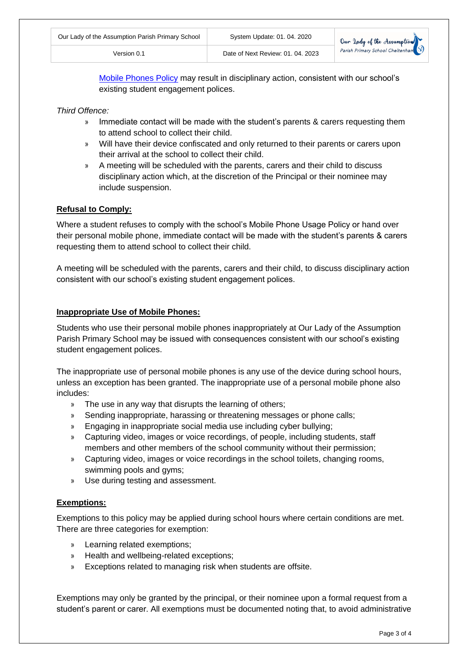[Mobile Phones Policy](https://www.education.vic.gov.au/school/principals/spag/safety/Pages/mobilephones.aspx) may result in disciplinary action, consistent with our school's existing student engagement polices.

*Third Offence:*

- » Immediate contact will be made with the student's parents & carers requesting them to attend school to collect their child.
- » Will have their device confiscated and only returned to their parents or carers upon their arrival at the school to collect their child.
- » A meeting will be scheduled with the parents, carers and their child to discuss disciplinary action which, at the discretion of the Principal or their nominee may include suspension.

# **Refusal to Comply:**

Where a student refuses to comply with the school's Mobile Phone Usage Policy or hand over their personal mobile phone, immediate contact will be made with the student's parents & carers requesting them to attend school to collect their child.

A meeting will be scheduled with the parents, carers and their child, to discuss disciplinary action consistent with our school's existing student engagement polices.

## **Inappropriate Use of Mobile Phones:**

Students who use their personal mobile phones inappropriately at Our Lady of the Assumption Parish Primary School may be issued with consequences consistent with our school's existing student engagement polices.

The inappropriate use of personal mobile phones is any use of the device during school hours, unless an exception has been granted. The inappropriate use of a personal mobile phone also includes:

- » The use in any way that disrupts the learning of others;
- » Sending inappropriate, harassing or threatening messages or phone calls;
- » Engaging in inappropriate social media use including cyber bullying;
- » Capturing video, images or voice recordings, of people, including students, staff members and other members of the school community without their permission;
- » Capturing video, images or voice recordings in the school toilets, changing rooms, swimming pools and gyms;
- » Use during testing and assessment.

# **Exemptions:**

Exemptions to this policy may be applied during school hours where certain conditions are met. There are three categories for exemption:

- » Learning related exemptions;
- » Health and wellbeing-related exceptions;
- » Exceptions related to managing risk when students are offsite.

Exemptions may only be granted by the principal, or their nominee upon a formal request from a student's parent or carer. All exemptions must be documented noting that, to avoid administrative